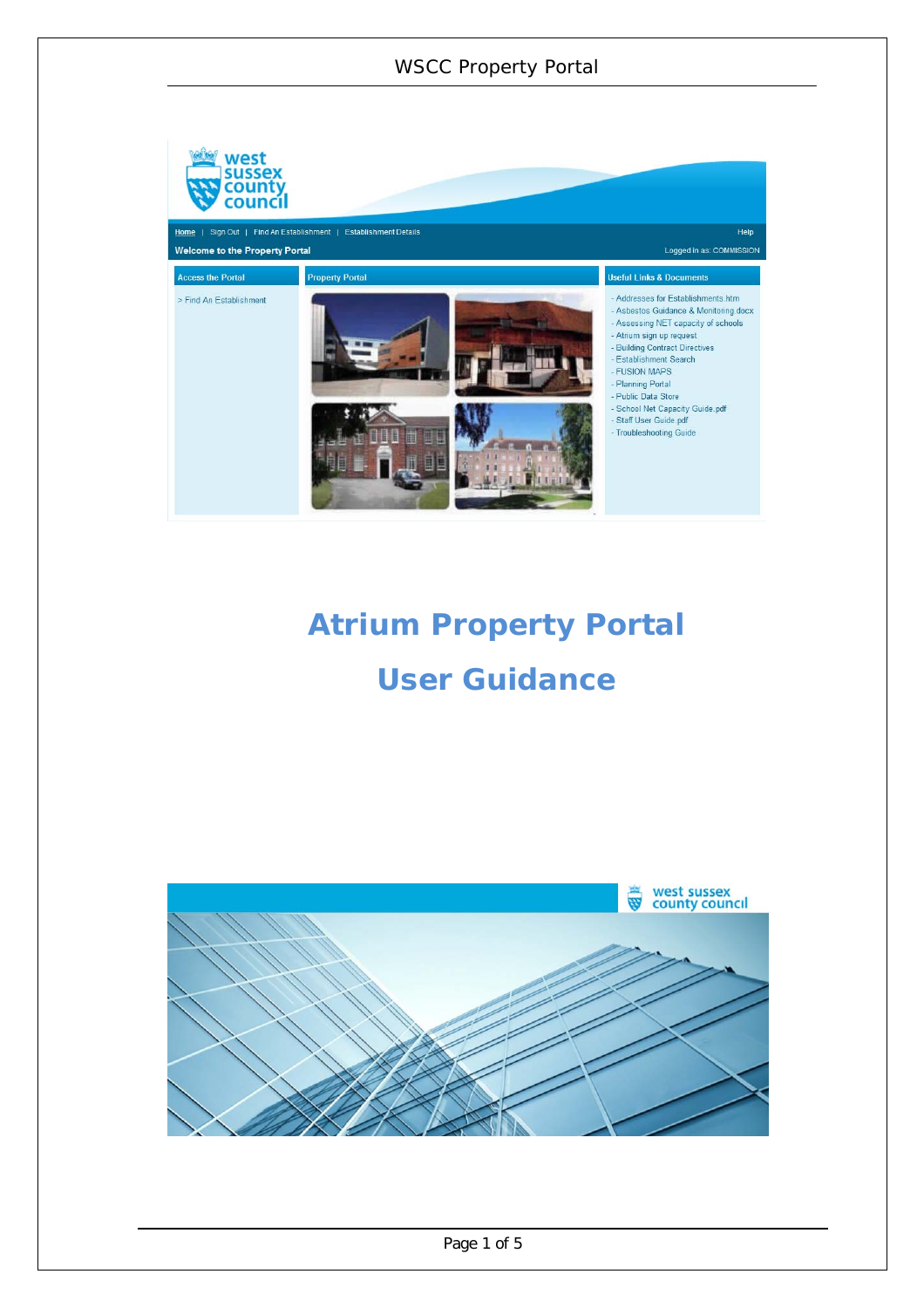# WSCC Property Portal



# **Atrium Property Portal User Guidance**

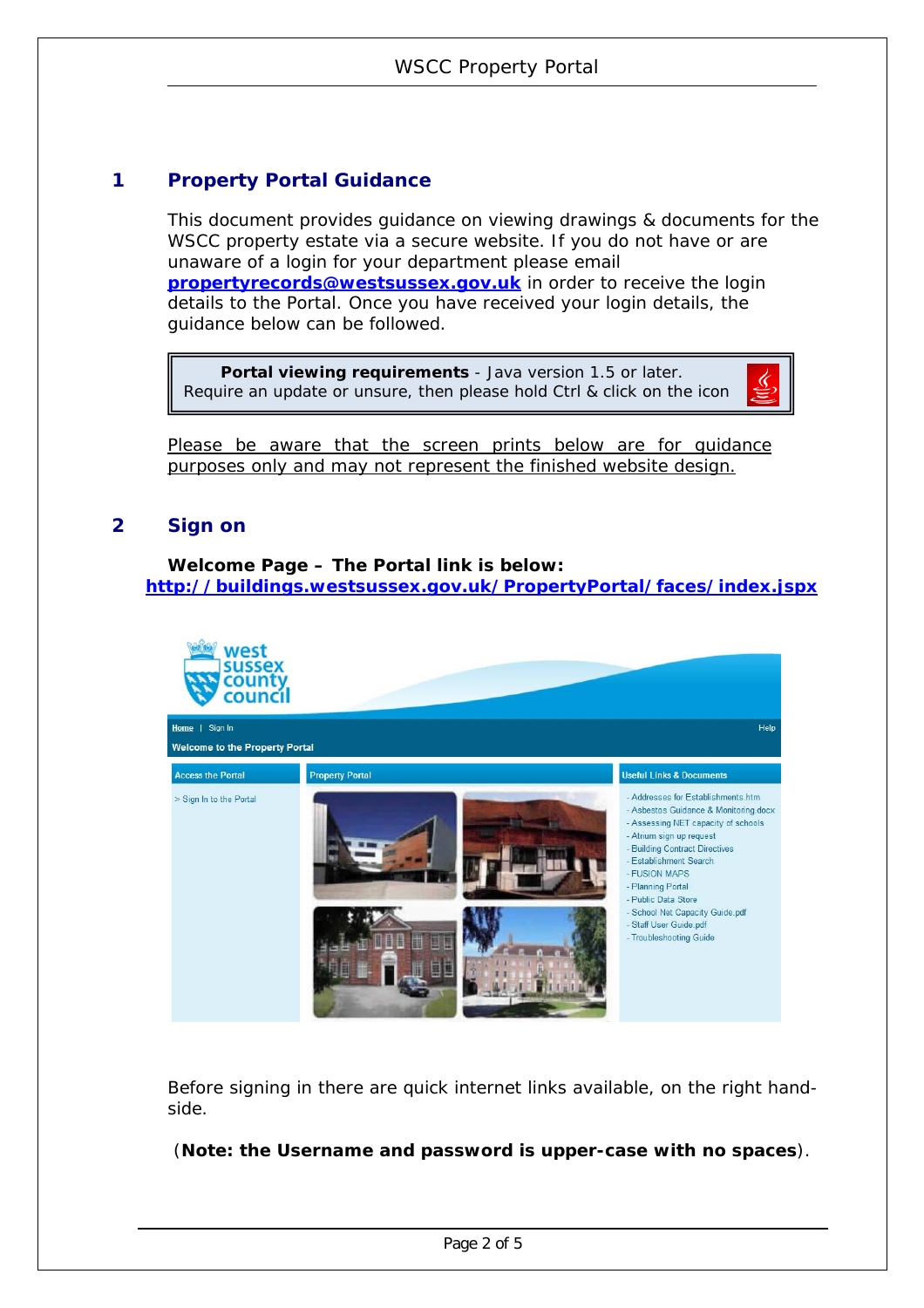## **1 Property Portal Guidance**

This document provides guidance on viewing drawings & documents for the WSCC property estate via a secure website. If you do not have or are unaware of a login for your department please email **propertyrecords@westsussex.gov.uk** in order to receive the login details to the Portal. Once you have received your login details, the guidance below can be followed.

 **Portal viewing requirements** - Java version 1.5 or later. Require an update or unsure, then please hold Ctrl & click on the icon

Please be aware that the screen prints below are for guidance purposes only and may not represent the finished website design.

## **2 Sign on**

#### **Welcome Page – The Portal link is below: http://buildings.westsussex.gov.uk/PropertyPortal/faces/index.jspx**



Before signing in there are quick internet links available, on the right handside.

(**Note: the Username and password is upper-case with no spaces**).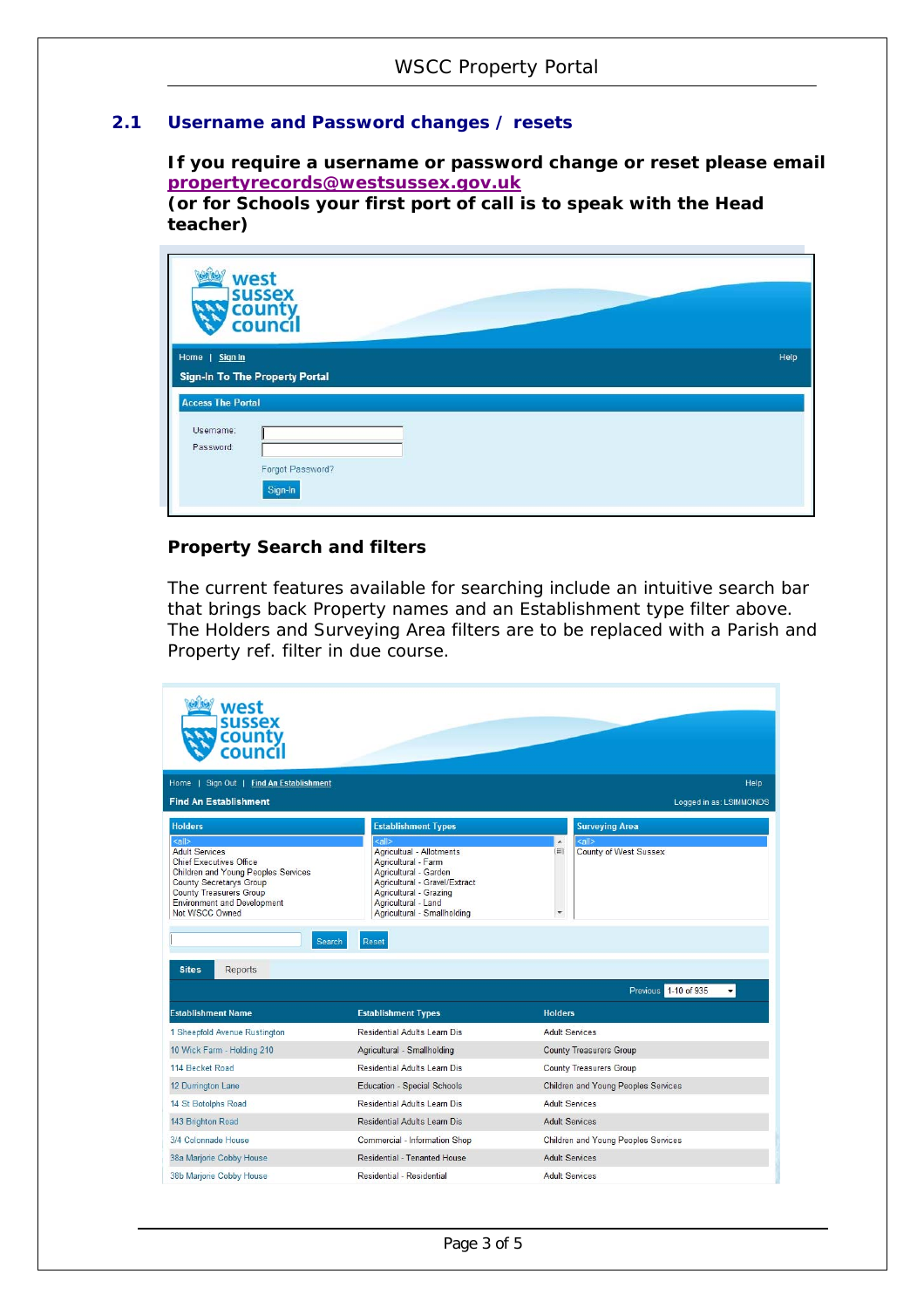## **2.1 Username and Password changes / resets**

**If you require a username or password change or reset please email propertyrecords@westsussex.gov.uk (or for Schools your first port of call is to speak with the Head** 

**teacher)** 

|                          | west<br><b>sussex</b><br>county<br>council |  |      |  |  |
|--------------------------|--------------------------------------------|--|------|--|--|
| Home   Sign In           |                                            |  | Help |  |  |
|                          | Sign-In To The Property Portal             |  |      |  |  |
| <b>Access The Portal</b> |                                            |  |      |  |  |
| Username:                |                                            |  |      |  |  |
| Password:                |                                            |  |      |  |  |
|                          | Forgot Password?                           |  |      |  |  |
|                          | Sign-In                                    |  |      |  |  |

#### **Property Search and filters**

The current features available for searching include an intuitive search bar that brings back Property names and an Establishment type filter above. The Holders and Surveying Area filters are to be replaced with a Parish and Property ref. filter in due course.

| west<br><b>sussex</b><br>county<br>coun                                                                                                                                                                                                      |                                                                                                                                                                                                             |                                                                       |  |
|----------------------------------------------------------------------------------------------------------------------------------------------------------------------------------------------------------------------------------------------|-------------------------------------------------------------------------------------------------------------------------------------------------------------------------------------------------------------|-----------------------------------------------------------------------|--|
| Home   Sign Out   Find An Establishment                                                                                                                                                                                                      |                                                                                                                                                                                                             | Help                                                                  |  |
| <b>Find An Establishment</b>                                                                                                                                                                                                                 |                                                                                                                                                                                                             | Logged in as: LSIMMONDS                                               |  |
| <b>Holders</b>                                                                                                                                                                                                                               | <b>Establishment Types</b>                                                                                                                                                                                  | <b>Surveying Area</b>                                                 |  |
| $\leq$ all $>$<br><b>Adult Services</b><br><b>Chief Executives Office</b><br><b>Children and Young Peoples Services</b><br>County Secretarys Group<br><b>County Treasurers Group</b><br><b>Environment and Development</b><br>Not WSCC Owned | $\leq$ all $>$<br>Agricultual - Allotments<br>Agricultural - Farm<br>Agricultural - Garden<br>Agricultural - Gravel/Extract<br>Agricultural - Grazing<br>Agricultural - Land<br>Agricultural - Smallholding | $\leq$ all $>$<br>$\blacktriangle$<br>田<br>County of West Sussex<br>۰ |  |
| Search                                                                                                                                                                                                                                       | Reset                                                                                                                                                                                                       |                                                                       |  |
| <b>Reports</b><br><b>Sites</b>                                                                                                                                                                                                               |                                                                                                                                                                                                             |                                                                       |  |
|                                                                                                                                                                                                                                              |                                                                                                                                                                                                             | Previous 1-10 of 935                                                  |  |
| <b>Establishment Name</b>                                                                                                                                                                                                                    | <b>Establishment Types</b>                                                                                                                                                                                  | <b>Holders</b>                                                        |  |
| 1 Sheepfold Avenue Rustington                                                                                                                                                                                                                | Residential Adults Learn Dis                                                                                                                                                                                | <b>Adult Services</b>                                                 |  |
| 10 Wick Farm - Holding 210                                                                                                                                                                                                                   | Agricultural - Smallholding                                                                                                                                                                                 | <b>County Treasurers Group</b>                                        |  |
| 114 Becket Road                                                                                                                                                                                                                              | <b>Residential Adults Learn Dis</b>                                                                                                                                                                         | <b>County Treasurers Group</b>                                        |  |
| 12 Durrington Lane                                                                                                                                                                                                                           | <b>Education - Special Schools</b>                                                                                                                                                                          | <b>Children and Young Peoples Services</b>                            |  |
| 14 St Botolphs Road                                                                                                                                                                                                                          | Residential Adults Learn Dis                                                                                                                                                                                | <b>Adult Services</b>                                                 |  |
| 143 Brighton Road                                                                                                                                                                                                                            | <b>Residential Adults Learn Dis</b>                                                                                                                                                                         | <b>Adult Services</b>                                                 |  |
| 3/4 Colonnade House                                                                                                                                                                                                                          | Commercial - Information Shop                                                                                                                                                                               | Children and Young Peoples Services                                   |  |
| 38a Marjorie Cobby House                                                                                                                                                                                                                     | Residential - Tenanted House                                                                                                                                                                                | <b>Adult Services</b>                                                 |  |
| 38b Marjorie Cobby House                                                                                                                                                                                                                     | Residential - Residential                                                                                                                                                                                   | <b>Adult Services</b>                                                 |  |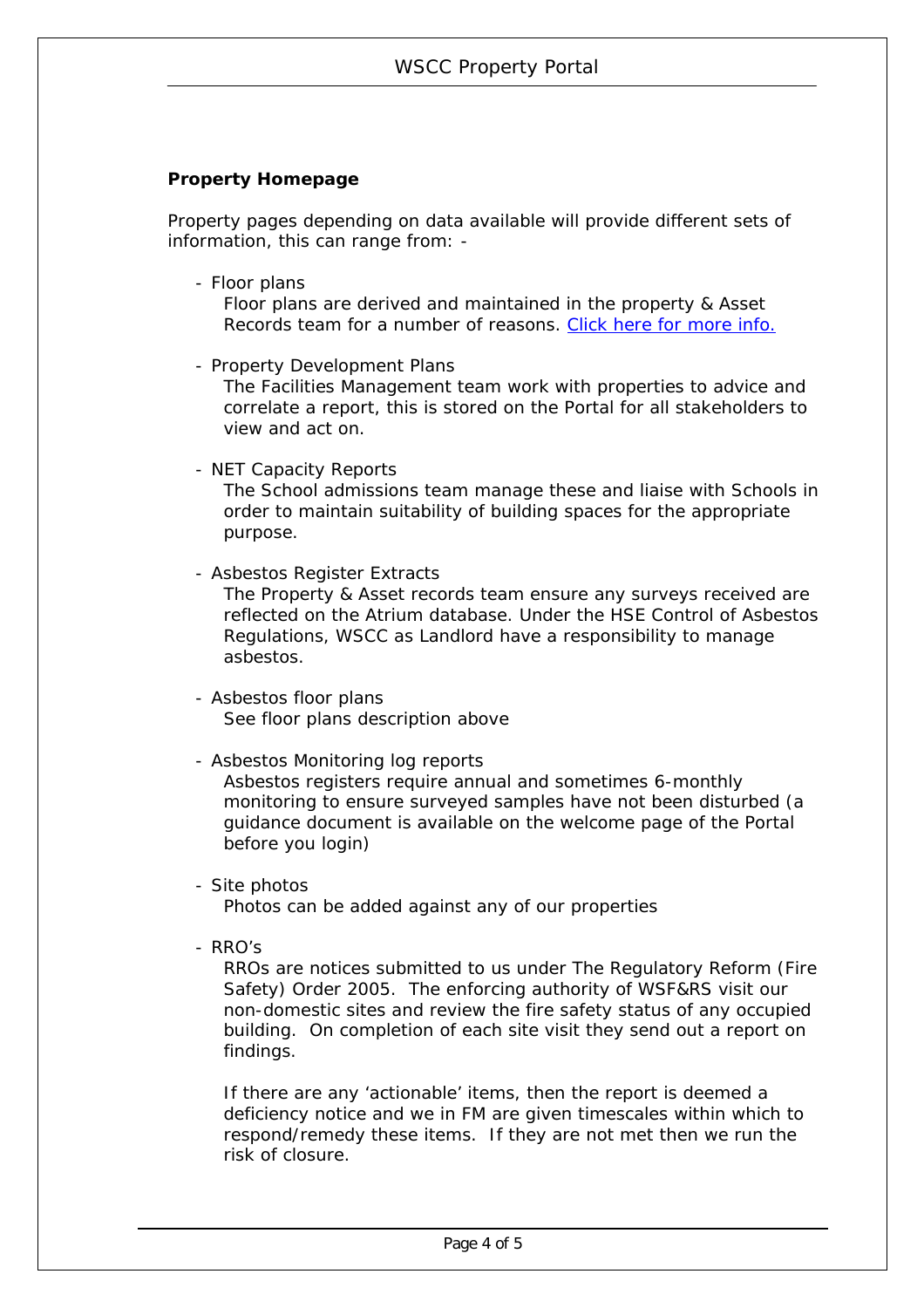#### **Property Homepage**

Property pages depending on data available will provide different sets of information, this can range from: -

- Floor plans

Floor plans are derived and maintained in the property & Asset Records team for a number of reasons. Click here for more info.

- Property Development Plans

The Facilities Management team work with properties to advice and correlate a report, this is stored on the Portal for all stakeholders to view and act on.

- NET Capacity Reports

The School admissions team manage these and liaise with Schools in order to maintain suitability of building spaces for the appropriate purpose.

- Asbestos Register Extracts

The Property & Asset records team ensure any surveys received are reflected on the Atrium database. Under the HSE Control of Asbestos Regulations, WSCC as Landlord have a responsibility to manage asbestos.

- Asbestos floor plans See floor plans description above
- Asbestos Monitoring log reports

Asbestos registers require annual and sometimes 6-monthly monitoring to ensure surveyed samples have not been disturbed (a guidance document is available on the welcome page of the Portal before you login)

- Site photos

Photos can be added against any of our properties

- RRO's

RROs are notices submitted to us under The Regulatory Reform (Fire Safety) Order 2005. The enforcing authority of WSF&RS visit our non-domestic sites and review the fire safety status of any occupied building. On completion of each site visit they send out a report on findings.

If there are any 'actionable' items, then the report is deemed a deficiency notice and we in FM are given timescales within which to respond/remedy these items. If they are not met then we run the risk of closure.